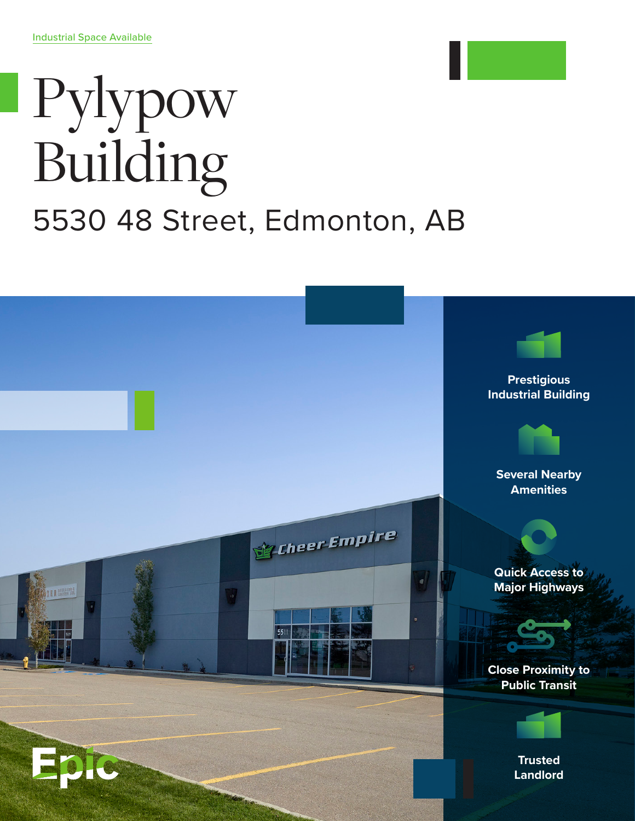## Pylypow Building 5530 48 Street, Edmonton, AB